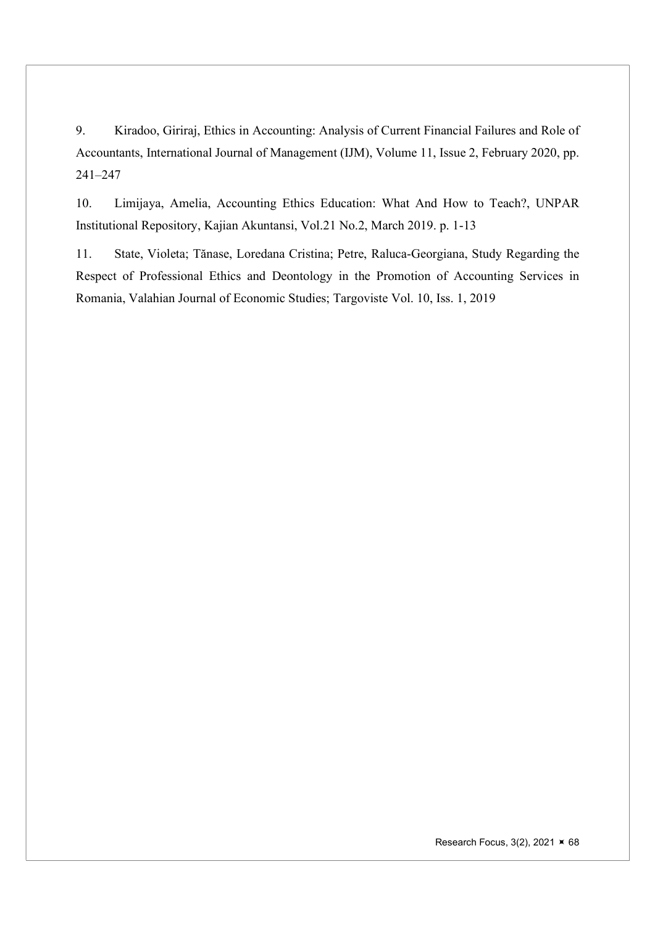9. Kiradoo, Giriraj, Ethics in Accounting: Analysis of Current Financial Failures and Role of Accountants, International Journal of Management (IJM), Volume 11, Issue 2, February 2020, pp. 241–247

10. Limijaya, Amelia, Accounting Ethics Education: What And How to Teach?, UNPAR Institutional Repository, Kajian Akuntansi, Vol.21 No.2, March 2019. p. 1-13

11. State, Violeta; Tănase, Loredana Cristina; Petre, Raluca-Georgiana, Study Regarding the Respect of Professional Ethics and Deontology in the Promotion of Accounting Services in Romania, Valahian Journal of Economic Studies; Targoviste Vol. 10, Iss. 1, 2019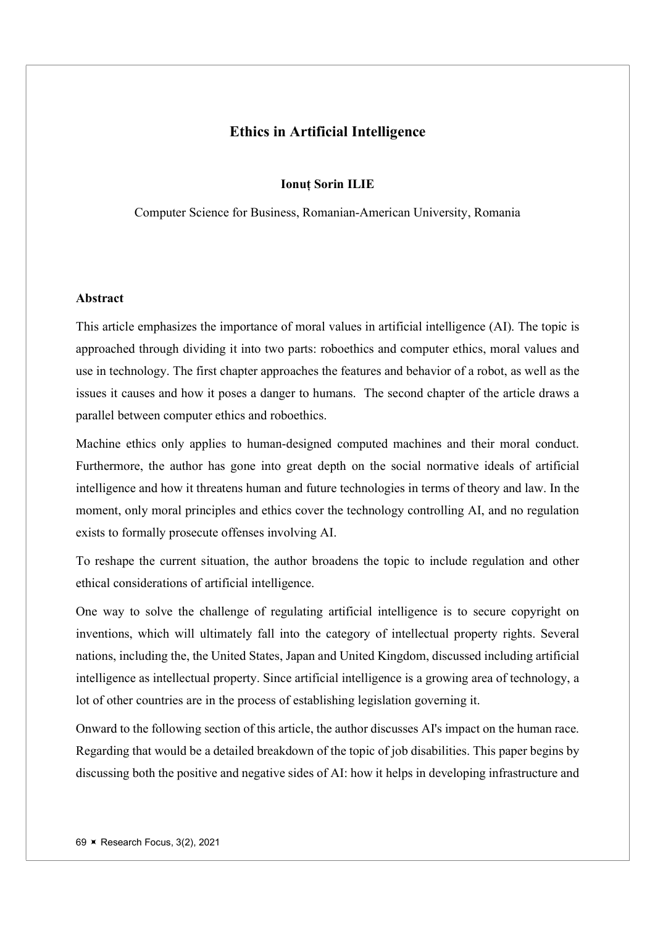# Ethics in Artificial Intelligence

#### Ionuț Sorin ILIE

Computer Science for Business, Romanian-American University, Romania

#### Abstract

This article emphasizes the importance of moral values in artificial intelligence (AI). The topic is approached through dividing it into two parts: roboethics and computer ethics, moral values and use in technology. The first chapter approaches the features and behavior of a robot, as well as the issues it causes and how it poses a danger to humans. The second chapter of the article draws a parallel between computer ethics and roboethics.

Machine ethics only applies to human-designed computed machines and their moral conduct. Furthermore, the author has gone into great depth on the social normative ideals of artificial intelligence and how it threatens human and future technologies in terms of theory and law. In the moment, only moral principles and ethics cover the technology controlling AI, and no regulation exists to formally prosecute offenses involving AI.

To reshape the current situation, the author broadens the topic to include regulation and other ethical considerations of artificial intelligence.

One way to solve the challenge of regulating artificial intelligence is to secure copyright on inventions, which will ultimately fall into the category of intellectual property rights. Several nations, including the, the United States, Japan and United Kingdom, discussed including artificial intelligence as intellectual property. Since artificial intelligence is a growing area of technology, a lot of other countries are in the process of establishing legislation governing it.

Onward to the following section of this article, the author discusses AI's impact on the human race. Regarding that would be a detailed breakdown of the topic of job disabilities. This paper begins by discussing both the positive and negative sides of AI: how it helps in developing infrastructure and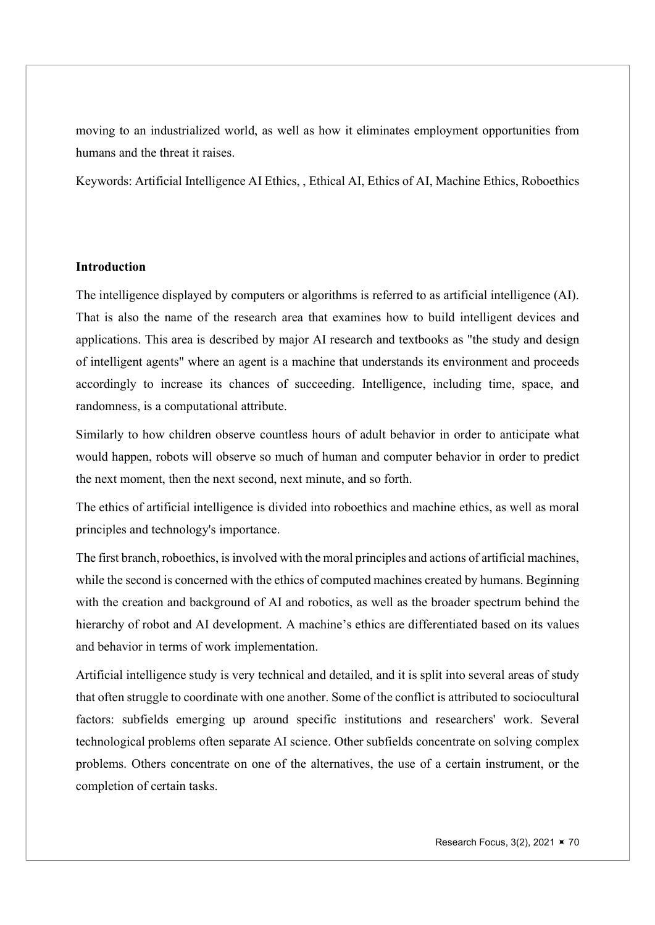moving to an industrialized world, as well as how it eliminates employment opportunities from humans and the threat it raises.

Keywords: Artificial Intelligence AI Ethics, , Ethical AI, Ethics of AI, Machine Ethics, Roboethics

## Introduction

The intelligence displayed by computers or algorithms is referred to as artificial intelligence (AI). That is also the name of the research area that examines how to build intelligent devices and applications. This area is described by major AI research and textbooks as "the study and design of intelligent agents" where an agent is a machine that understands its environment and proceeds accordingly to increase its chances of succeeding. Intelligence, including time, space, and randomness, is a computational attribute.

Similarly to how children observe countless hours of adult behavior in order to anticipate what would happen, robots will observe so much of human and computer behavior in order to predict the next moment, then the next second, next minute, and so forth.

The ethics of artificial intelligence is divided into roboethics and machine ethics, as well as moral principles and technology's importance.

The first branch, roboethics, is involved with the moral principles and actions of artificial machines, while the second is concerned with the ethics of computed machines created by humans. Beginning with the creation and background of AI and robotics, as well as the broader spectrum behind the hierarchy of robot and AI development. A machine's ethics are differentiated based on its values and behavior in terms of work implementation.

Artificial intelligence study is very technical and detailed, and it is split into several areas of study that often struggle to coordinate with one another. Some of the conflict is attributed to sociocultural factors: subfields emerging up around specific institutions and researchers' work. Several technological problems often separate AI science. Other subfields concentrate on solving complex problems. Others concentrate on one of the alternatives, the use of a certain instrument, or the completion of certain tasks.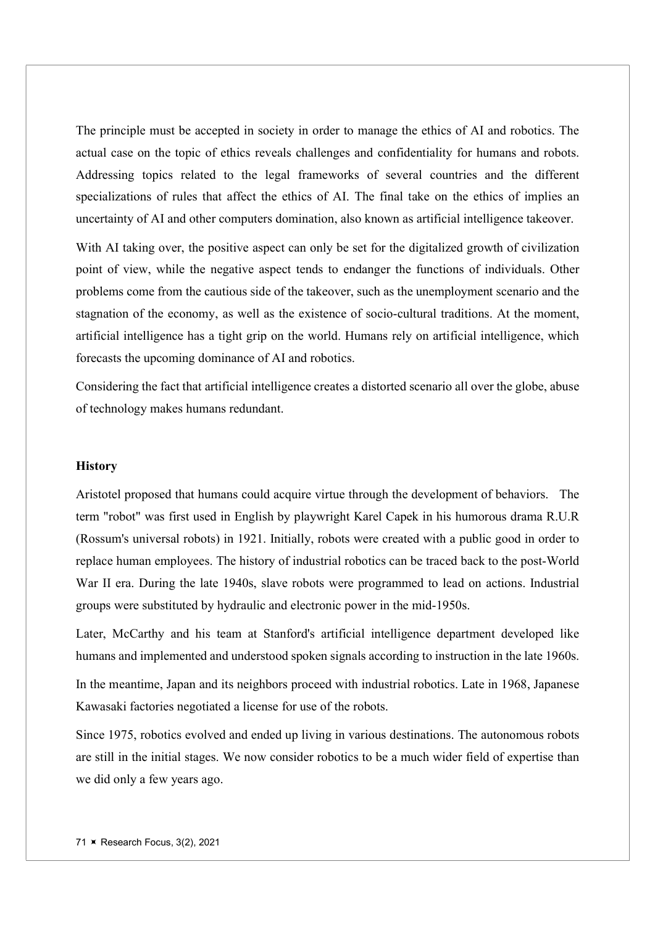The principle must be accepted in society in order to manage the ethics of AI and robotics. The actual case on the topic of ethics reveals challenges and confidentiality for humans and robots. Addressing topics related to the legal frameworks of several countries and the different specializations of rules that affect the ethics of AI. The final take on the ethics of implies an uncertainty of AI and other computers domination, also known as artificial intelligence takeover.

With AI taking over, the positive aspect can only be set for the digitalized growth of civilization point of view, while the negative aspect tends to endanger the functions of individuals. Other problems come from the cautious side of the takeover, such as the unemployment scenario and the stagnation of the economy, as well as the existence of socio-cultural traditions. At the moment, artificial intelligence has a tight grip on the world. Humans rely on artificial intelligence, which forecasts the upcoming dominance of AI and robotics.

Considering the fact that artificial intelligence creates a distorted scenario all over the globe, abuse of technology makes humans redundant.

#### **History**

Aristotel proposed that humans could acquire virtue through the development of behaviors. The term "robot" was first used in English by playwright Karel Capek in his humorous drama R.U.R (Rossum's universal robots) in 1921. Initially, robots were created with a public good in order to replace human employees. The history of industrial robotics can be traced back to the post-World War II era. During the late 1940s, slave robots were programmed to lead on actions. Industrial groups were substituted by hydraulic and electronic power in the mid-1950s.

Later, McCarthy and his team at Stanford's artificial intelligence department developed like humans and implemented and understood spoken signals according to instruction in the late 1960s.

In the meantime, Japan and its neighbors proceed with industrial robotics. Late in 1968, Japanese Kawasaki factories negotiated a license for use of the robots.

Since 1975, robotics evolved and ended up living in various destinations. The autonomous robots are still in the initial stages. We now consider robotics to be a much wider field of expertise than we did only a few years ago.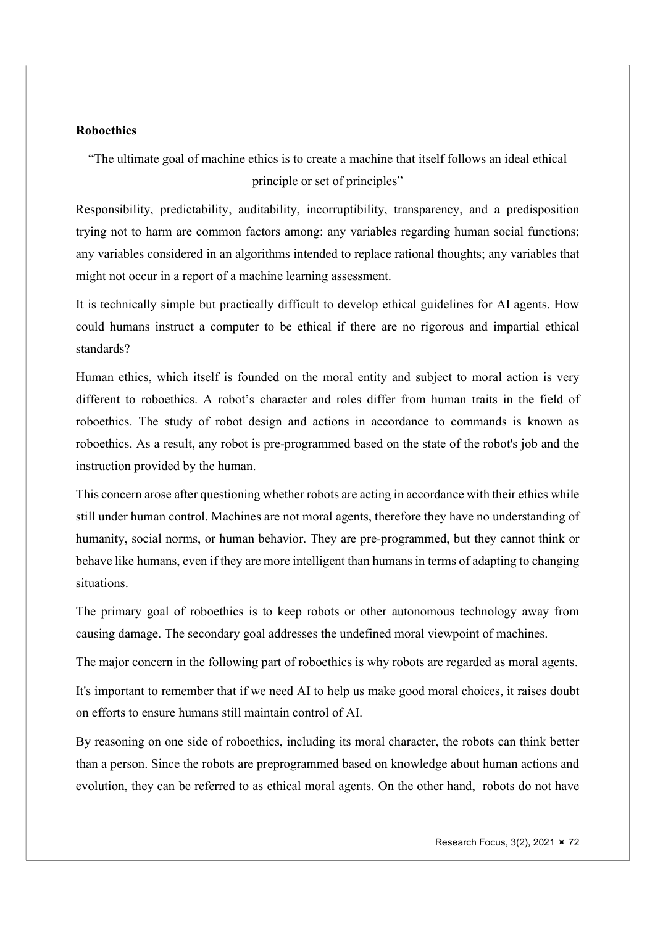### **Roboethics**

"The ultimate goal of machine ethics is to create a machine that itself follows an ideal ethical principle or set of principles"

Responsibility, predictability, auditability, incorruptibility, transparency, and a predisposition trying not to harm are common factors among: any variables regarding human social functions; any variables considered in an algorithms intended to replace rational thoughts; any variables that might not occur in a report of a machine learning assessment.

It is technically simple but practically difficult to develop ethical guidelines for AI agents. How could humans instruct a computer to be ethical if there are no rigorous and impartial ethical standards?

Human ethics, which itself is founded on the moral entity and subject to moral action is very different to roboethics. A robot's character and roles differ from human traits in the field of roboethics. The study of robot design and actions in accordance to commands is known as roboethics. As a result, any robot is pre-programmed based on the state of the robot's job and the instruction provided by the human.

This concern arose after questioning whether robots are acting in accordance with their ethics while still under human control. Machines are not moral agents, therefore they have no understanding of humanity, social norms, or human behavior. They are pre-programmed, but they cannot think or behave like humans, even if they are more intelligent than humans in terms of adapting to changing situations.

The primary goal of roboethics is to keep robots or other autonomous technology away from causing damage. The secondary goal addresses the undefined moral viewpoint of machines.

The major concern in the following part of roboethics is why robots are regarded as moral agents.

It's important to remember that if we need AI to help us make good moral choices, it raises doubt on efforts to ensure humans still maintain control of AI.

By reasoning on one side of roboethics, including its moral character, the robots can think better than a person. Since the robots are preprogrammed based on knowledge about human actions and evolution, they can be referred to as ethical moral agents. On the other hand, robots do not have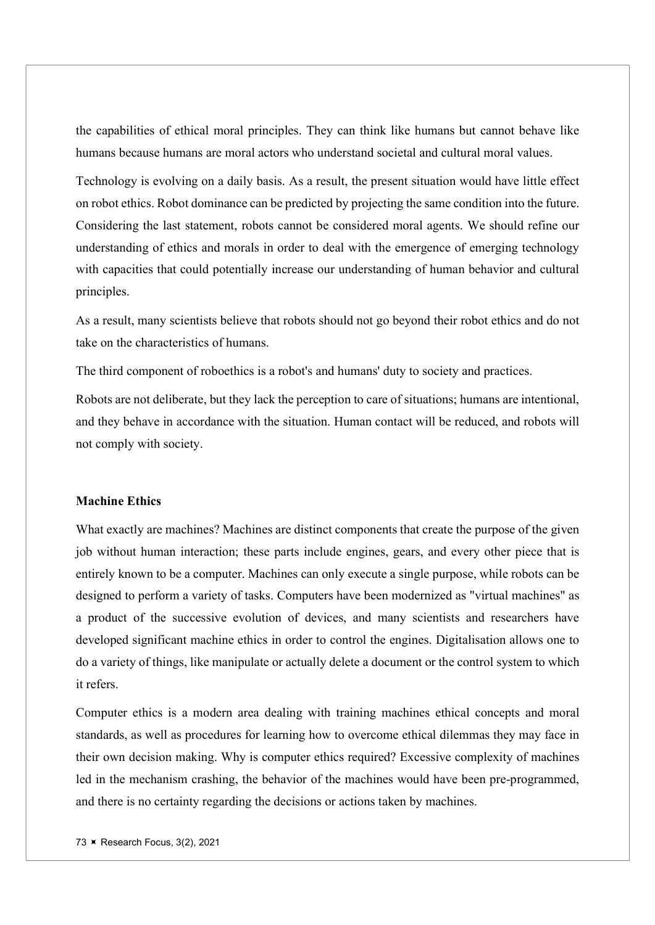the capabilities of ethical moral principles. They can think like humans but cannot behave like humans because humans are moral actors who understand societal and cultural moral values.

Technology is evolving on a daily basis. As a result, the present situation would have little effect on robot ethics. Robot dominance can be predicted by projecting the same condition into the future. Considering the last statement, robots cannot be considered moral agents. We should refine our understanding of ethics and morals in order to deal with the emergence of emerging technology with capacities that could potentially increase our understanding of human behavior and cultural principles.

As a result, many scientists believe that robots should not go beyond their robot ethics and do not take on the characteristics of humans.

The third component of roboethics is a robot's and humans' duty to society and practices.

Robots are not deliberate, but they lack the perception to care of situations; humans are intentional, and they behave in accordance with the situation. Human contact will be reduced, and robots will not comply with society.

# Machine Ethics

What exactly are machines? Machines are distinct components that create the purpose of the given job without human interaction; these parts include engines, gears, and every other piece that is entirely known to be a computer. Machines can only execute a single purpose, while robots can be designed to perform a variety of tasks. Computers have been modernized as "virtual machines" as a product of the successive evolution of devices, and many scientists and researchers have developed significant machine ethics in order to control the engines. Digitalisation allows one to do a variety of things, like manipulate or actually delete a document or the control system to which it refers.

Computer ethics is a modern area dealing with training machines ethical concepts and moral standards, as well as procedures for learning how to overcome ethical dilemmas they may face in their own decision making. Why is computer ethics required? Excessive complexity of machines led in the mechanism crashing, the behavior of the machines would have been pre-programmed, and there is no certainty regarding the decisions or actions taken by machines.

73 **K** Research Focus, 3(2), 2021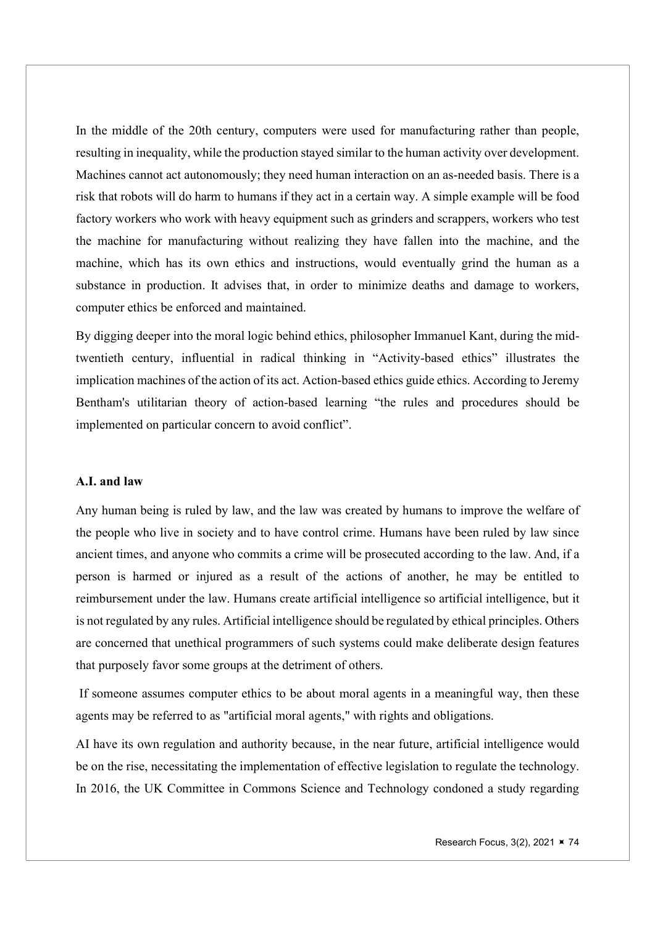In the middle of the 20th century, computers were used for manufacturing rather than people, resulting in inequality, while the production stayed similar to the human activity over development. Machines cannot act autonomously; they need human interaction on an as-needed basis. There is a risk that robots will do harm to humans if they act in a certain way. A simple example will be food factory workers who work with heavy equipment such as grinders and scrappers, workers who test the machine for manufacturing without realizing they have fallen into the machine, and the machine, which has its own ethics and instructions, would eventually grind the human as a substance in production. It advises that, in order to minimize deaths and damage to workers, computer ethics be enforced and maintained.

By digging deeper into the moral logic behind ethics, philosopher Immanuel Kant, during the midtwentieth century, influential in radical thinking in "Activity-based ethics" illustrates the implication machines of the action of its act. Action-based ethics guide ethics. According to Jeremy Bentham's utilitarian theory of action-based learning "the rules and procedures should be implemented on particular concern to avoid conflict".

## A.I. and law

Any human being is ruled by law, and the law was created by humans to improve the welfare of the people who live in society and to have control crime. Humans have been ruled by law since ancient times, and anyone who commits a crime will be prosecuted according to the law. And, if a person is harmed or injured as a result of the actions of another, he may be entitled to reimbursement under the law. Humans create artificial intelligence so artificial intelligence, but it is not regulated by any rules. Artificial intelligence should be regulated by ethical principles. Others are concerned that unethical programmers of such systems could make deliberate design features that purposely favor some groups at the detriment of others.

 If someone assumes computer ethics to be about moral agents in a meaningful way, then these agents may be referred to as "artificial moral agents," with rights and obligations.

AI have its own regulation and authority because, in the near future, artificial intelligence would be on the rise, necessitating the implementation of effective legislation to regulate the technology. In 2016, the UK Committee in Commons Science and Technology condoned a study regarding